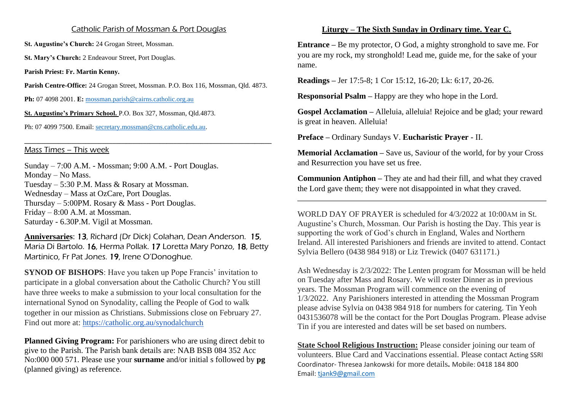## Catholic Parish of Mossman & Port Douglas

**St. Augustine's Church:** 24 Grogan Street, Mossman.

St. Mary's Church: 2 Endeavour Street, Port Douglas.

**Parish Priest: Fr. Martin Kenny.**

**Parish Centre-Office:** 24 Grogan Street, Mossman. P.O. Box 116, Mossman, Qld. 4873.

**Ph:** 07 4098 2001. **E:** [mossman.parish@cairns.catholic.org.au](mailto:mossman.parish@cairns.catholic.org.au)

**St. Augustine's Primary School.** P.O. Box 327, Mossman, Qld.4873.

Ph: 07 4099 7500. Email: [secretary.mossman@cns.catholic.edu.au.](mailto:secretary.mossman@cns.catholic.edu.au)

## **\_\_\_\_\_\_\_\_\_\_\_\_\_\_\_\_\_\_\_\_\_\_\_\_\_\_\_\_\_\_\_\_\_\_\_\_\_\_\_\_\_\_\_\_\_\_\_\_\_\_\_\_\_\_\_\_\_\_\_\_\_\_\_\_\_\_\_\_\_\_\_\_\_** Mass Times – This week

Sunday – 7:00 A.M. - Mossman; 9:00 A.M. - Port Douglas. Monday – No Mass. Tuesday – 5:30 P.M. Mass & Rosary at Mossman. Wednesday – Mass at OzCare, Port Douglas. Thursday – 5:00PM. Rosary & Mass - Port Douglas. Friday – 8:00 A.M. at Mossman. Saturday - 6.30P.M. Vigil at Mossman.

**Anniversaries**: 13, Richard (Dr Dick) Colahan, Dean Anderson. 15, Maria Di Bartolo. 16, Herma Pollak. 17 Loretta Mary Ponzo, 18, Betty Martinico, Fr Pat Jones. 19, Irene O'Donoghue.

**SYNOD OF BISHOPS:** Have you taken up Pope Francis' invitation to participate in a global conversation about the Catholic Church? You still have three weeks to make a submission to your local consultation for the international Synod on Synodality, calling the People of God to walk together in our mission as Christians. Submissions close on February 27. Find out more at: <https://catholic.org.au/synodalchurch>

**Planned Giving Program:** For parishioners who are using direct debit to give to the Parish. The Parish bank details are: NAB BSB 084 352 Acc No:000 000 571. Please use your **surname** and/or initial s followed by **pg** (planned giving) as reference.

## **Liturgy – The Sixth Sunday in Ordinary time. Year C.**

**Entrance –** Be my protector, O God, a mighty stronghold to save me. For you are my rock, my stronghold! Lead me, guide me, for the sake of your name.

**Readings –** Jer 17:5-8; 1 Cor 15:12, 16-20; Lk: 6:17, 20-26.

**Responsorial Psalm –** Happy are they who hope in the Lord.

**Gospel Acclamation –** Alleluia, alleluia! Rejoice and be glad; your reward is great in heaven. Alleluia!

**Preface –** Ordinary Sundays V. **Eucharistic Prayer** - II.

**Memorial Acclamation** – Save us, Saviour of the world, for by your Cross and Resurrection you have set us free.

**Communion Antiphon –** They ate and had their fill, and what they craved the Lord gave them; they were not disappointed in what they craved.

WORLD DAY OF PRAYER is scheduled for 4/3/2022 at 10:00AM in St. Augustine's Church, Mossman. Our Parish is hosting the Day. This year is supporting the work of God's church in England, Wales and Northern Ireland. All interested Parishioners and friends are invited to attend. Contact Sylvia Bellero (0438 984 918) or Liz Trewick (0407 631171.)

Ash Wednesday is 2/3/2022: The Lenten program for Mossman will be held on Tuesday after Mass and Rosary. We will roster Dinner as in previous years. The Mossman Program will commence on the evening of 1/3/2022. Any Parishioners interested in attending the Mossman Program please advise Sylvia on 0438 984 918 for numbers for catering. Tin Yeoh 0431536078 will be the contact for the Port Douglas Program. Please advise Tin if you are interested and dates will be set based on numbers.

**State School Religious Instruction:** Please consider joining our team of volunteers. Blue Card and Vaccinations essential. Please contact Acting SSRI Coordinator- Thresea Jankowski for more details**.** Mobile: 0418 184 800 Email: [tjank9@gmail.com](mailto:tjank9@gmail.com)